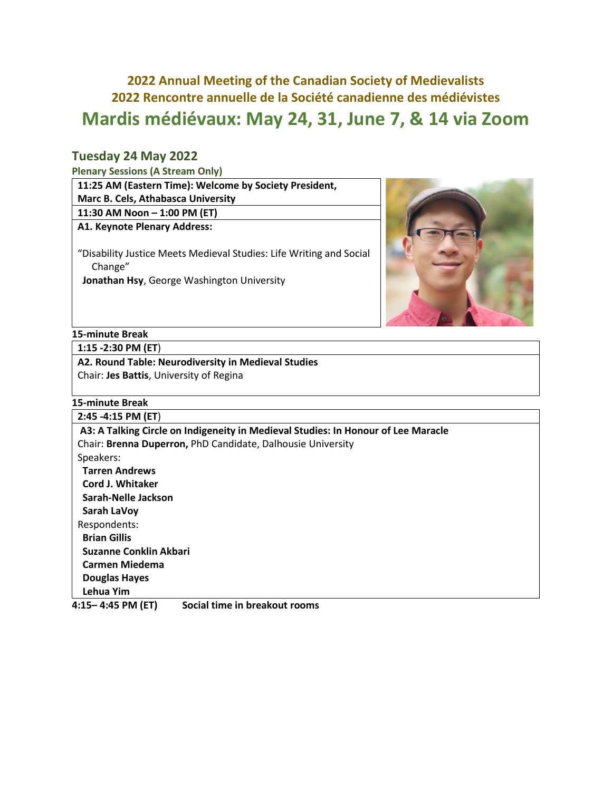# **2022 Annual Meeting of the Canadian Society of Medievalists 2022 Rencontre annuelle de la Société canadienne des médiévistes Mardis médiévaux: May 24, 31, June 7, & 14 via Zoom**

### **Tuesday 24 May 2022**

**Plenary Sessions (A Stream Only)**

| 11:25 AM (Eastern Time): Welcome by Society President,              |  |
|---------------------------------------------------------------------|--|
| <b>Marc B. Cels, Athabasca University</b>                           |  |
| 11:30 AM Noon - 1:00 PM (ET)                                        |  |
| A1. Keynote Plenary Address:                                        |  |
|                                                                     |  |
| "Disability Justice Meets Medieval Studies: Life Writing and Social |  |
| Change"                                                             |  |

**Jonathan Hsy**, George Washington University



#### **15-minute Break**

**1:15 -2:30 PM (ET**)

**A2. Round Table: Neurodiversity in Medieval Studies** Chair: **Jes Battis**, University of Regina

#### **15-minute Break**

| $2:45 - 4:15 PM (ET)$                                                             |
|-----------------------------------------------------------------------------------|
| A3: A Talking Circle on Indigeneity in Medieval Studies: In Honour of Lee Maracle |
| Chair: Brenna Duperron, PhD Candidate, Dalhousie University                       |
| Speakers:                                                                         |
| <b>Tarren Andrews</b>                                                             |
| Cord J. Whitaker                                                                  |
| Sarah-Nelle Jackson                                                               |
| Sarah LaVoy                                                                       |
| Respondents:                                                                      |
| <b>Brian Gillis</b>                                                               |
| Suzanne Conklin Akbari                                                            |
| <b>Carmen Miedema</b>                                                             |
| <b>Douglas Hayes</b>                                                              |
| Lehua Yim                                                                         |

**4:15– 4:45 PM (ET) Social time in breakout rooms**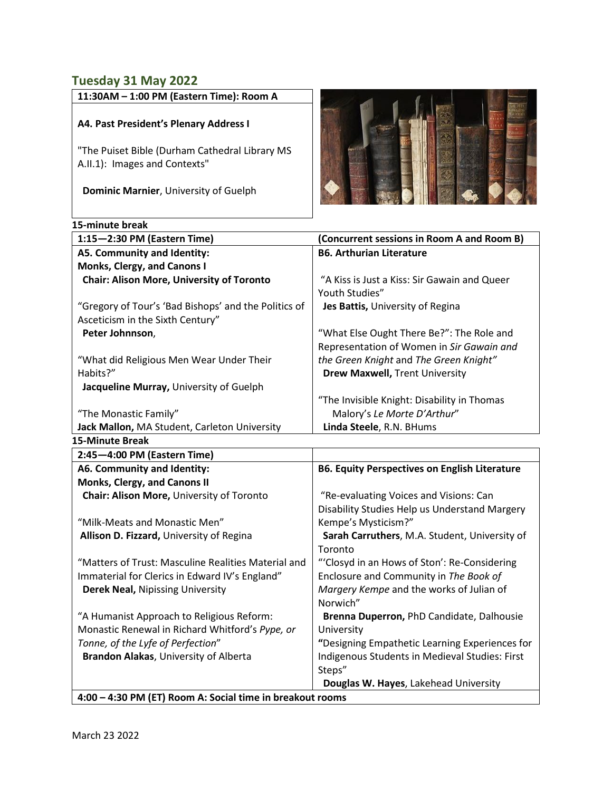### **Tuesday 31 May 2022**

| 11:30AM - 1:00 PM (Eastern Time): Room A |
|------------------------------------------|
|                                          |

### **A4. Past President's Plenary Address I**

"The Puiset Bible (Durham Cathedral Library MS A.II.1): Images and Contexts"

 **Dominic Marnier**, University of Guelph

#### **15-minute break**



| 1:15-2:30 PM (Eastern Time)                               | (Concurrent sessions in Room A and Room B)               |  |
|-----------------------------------------------------------|----------------------------------------------------------|--|
| A5. Community and Identity:                               | <b>B6. Arthurian Literature</b>                          |  |
| Monks, Clergy, and Canons I                               |                                                          |  |
| <b>Chair: Alison More, University of Toronto</b>          | "A Kiss is Just a Kiss: Sir Gawain and Queer             |  |
|                                                           | Youth Studies"                                           |  |
| "Gregory of Tour's 'Bad Bishops' and the Politics of      | Jes Battis, University of Regina                         |  |
| Asceticism in the Sixth Century"                          |                                                          |  |
| Peter Johnnson,                                           | "What Else Ought There Be?": The Role and                |  |
|                                                           | Representation of Women in Sir Gawain and                |  |
| "What did Religious Men Wear Under Their                  | the Green Knight and The Green Knight"                   |  |
| Habits?"                                                  | <b>Drew Maxwell, Trent University</b>                    |  |
| Jacqueline Murray, University of Guelph                   |                                                          |  |
|                                                           | "The Invisible Knight: Disability in Thomas              |  |
| "The Monastic Family"                                     | Malory's Le Morte D'Arthur"                              |  |
| Jack Mallon, MA Student, Carleton University              | Linda Steele, R.N. BHums                                 |  |
| <b>15-Minute Break</b>                                    |                                                          |  |
| 2:45-4:00 PM (Eastern Time)                               |                                                          |  |
| A6. Community and Identity:                               | <b>B6. Equity Perspectives on English Literature</b>     |  |
| Monks, Clergy, and Canons II                              |                                                          |  |
| Chair: Alison More, University of Toronto                 | "Re-evaluating Voices and Visions: Can                   |  |
|                                                           | Disability Studies Help us Understand Margery            |  |
| "Milk-Meats and Monastic Men"                             | Kempe's Mysticism?"                                      |  |
| Allison D. Fizzard, University of Regina                  | Sarah Carruthers, M.A. Student, University of<br>Toronto |  |
| "Matters of Trust: Masculine Realities Material and       | "'Closyd in an Hows of Ston': Re-Considering             |  |
| Immaterial for Clerics in Edward IV's England"            | Enclosure and Community in The Book of                   |  |
| Derek Neal, Nipissing University                          | Margery Kempe and the works of Julian of                 |  |
|                                                           | Norwich"                                                 |  |
| "A Humanist Approach to Religious Reform:                 | Brenna Duperron, PhD Candidate, Dalhousie                |  |
| Monastic Renewal in Richard Whitford's Pype, or           | University                                               |  |
| Tonne, of the Lyfe of Perfection"                         | "Designing Empathetic Learning Experiences for           |  |
| Brandon Alakas, University of Alberta                     | Indigenous Students in Medieval Studies: First           |  |
|                                                           | Steps"                                                   |  |
|                                                           | Douglas W. Hayes, Lakehead University                    |  |
| 4:00 - 4:30 PM (ET) Room A: Social time in breakout rooms |                                                          |  |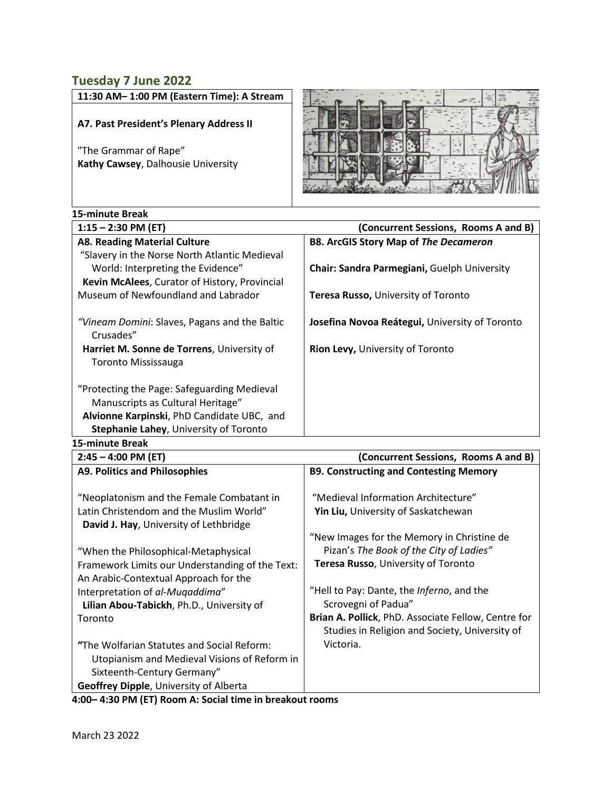### **Tuesday 7 June 2022**

**11:30 AM– 1:00 PM (Eastern Time): A Stream** 

### **A7. Past President's Plenary Address II**

"The Grammar of Rape" **Kathy Cawsey**, Dalhousie University



| 15-minute Break                                                          |                                                |
|--------------------------------------------------------------------------|------------------------------------------------|
| $1:15 - 2:30$ PM (ET)                                                    | (Concurrent Sessions, Rooms A and B)           |
| <b>A8. Reading Material Culture</b>                                      | <b>B8. ArcGIS Story Map of The Decameron</b>   |
| "Slavery in the Norse North Atlantic Medieval                            |                                                |
| World: Interpreting the Evidence"                                        | Chair: Sandra Parmegiani, Guelph University    |
| Kevin McAlees, Curator of History, Provincial                            |                                                |
| Museum of Newfoundland and Labrador                                      | Teresa Russo, University of Toronto            |
| "Vineam Domini: Slaves, Pagans and the Baltic<br>Crusades"               | Josefina Novoa Reátegui, University of Toronto |
| Harriet M. Sonne de Torrens, University of<br><b>Toronto Mississauga</b> | <b>Rion Levy, University of Toronto</b>        |
| "Protecting the Page: Safeguarding Medieval                              |                                                |
| Manuscripts as Cultural Heritage"                                        |                                                |
| Alvionne Karpinski, PhD Candidate UBC, and                               |                                                |
| Stephanie Lahey, University of Toronto                                   |                                                |
| 15-minuto Broak                                                          |                                                |

| $2:45 - 4:00$ PM (ET)                           | (Concurrent Sessions, Rooms A and B)                |
|-------------------------------------------------|-----------------------------------------------------|
| <b>A9. Politics and Philosophies</b>            | <b>B9. Constructing and Contesting Memory</b>       |
|                                                 |                                                     |
| "Neoplatonism and the Female Combatant in       | "Medieval Information Architecture"                 |
| Latin Christendom and the Muslim World"         | Yin Liu, University of Saskatchewan                 |
| David J. Hay, University of Lethbridge          |                                                     |
|                                                 | "New Images for the Memory in Christine de          |
| "When the Philosophical-Metaphysical            | Pizan's The Book of the City of Ladies"             |
| Framework Limits our Understanding of the Text: | Teresa Russo, University of Toronto                 |
| An Arabic-Contextual Approach for the           |                                                     |
| Interpretation of al-Mugaddima"                 | "Hell to Pay: Dante, the Inferno, and the           |
| Lilian Abou-Tabickh, Ph.D., University of       | Scrovegni of Padua"                                 |
| Toronto                                         | Brian A. Pollick, PhD. Associate Fellow, Centre for |
|                                                 | Studies in Religion and Society, University of      |
| "The Wolfarian Statutes and Social Reform:      | Victoria.                                           |
| Utopianism and Medieval Visions of Reform in    |                                                     |
| Sixteenth-Century Germany"                      |                                                     |
| <b>Geoffrey Dipple, University of Alberta</b>   |                                                     |

**4:00– 4:30 PM (ET) Room A: Social time in breakout rooms**